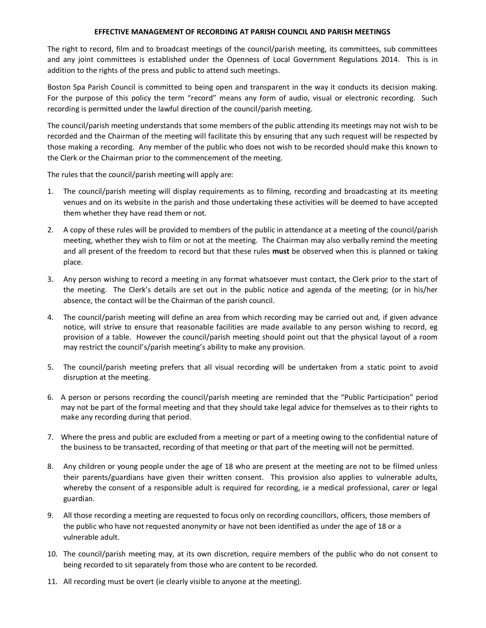## **EFFECTIVE MANAGEMENT OF RECORDING AT PARISH COUNCIL AND PARISH MEETINGS**

The right to record, film and to broadcast meetings of the council/parish meeting, its committees, sub committees and any joint committees is established under the Openness of Local Government Regulations 2014. This is in addition to the rights of the press and public to attend such meetings.

Boston Spa Parish Council is committed to being open and transparent in the way it conducts its decision making. For the purpose of this policy the term "record" means any form of audio, visual or electronic recording. Such recording is permitted under the lawful direction of the council/parish meeting.

The council/parish meeting understands that some members of the public attending its meetings may not wish to be recorded and the Chairman of the meeting will facilitate this by ensuring that any such request will be respected by those making a recording. Any member of the public who does not wish to be recorded should make this known to the Clerk or the Chairman prior to the commencement of the meeting.

The rules that the council/parish meeting will apply are:

- 1. The council/parish meeting will display requirements as to filming, recording and broadcasting at its meeting venues and on its website in the parish and those undertaking these activities will be deemed to have accepted them whether they have read them or not.
- 2. A copy of these rules will be provided to members of the public in attendance at a meeting of the council/parish meeting, whether they wish to film or not at the meeting. The Chairman may also verbally remind the meeting and all present of the freedom to record but that these rules **must** be observed when this is planned or taking place.
- 3. Any person wishing to record a meeting in any format whatsoever must contact, the Clerk prior to the start of the meeting. The Clerk's details are set out in the public notice and agenda of the meeting; (or in his/her absence, the contact will be the Chairman of the parish council.
- 4. The council/parish meeting will define an area from which recording may be carried out and, if given advance notice, will strive to ensure that reasonable facilities are made available to any person wishing to record, eg provision of a table. However the council/parish meeting should point out that the physical layout of a room may restrict the council's/parish meeting's ability to make any provision.
- 5. The council/parish meeting prefers that all visual recording will be undertaken from a static point to avoid disruption at the meeting.
- 6. A person or persons recording the council/parish meeting are reminded that the "Public Participation" period may not be part of the formal meeting and that they should take legal advice for themselves as to their rights to make any recording during that period.
- 7. Where the press and public are excluded from a meeting or part of a meeting owing to the confidential nature of the business to be transacted, recording of that meeting or that part of the meeting will not be permitted.
- 8. Any children or young people under the age of 18 who are present at the meeting are not to be filmed unless their parents/guardians have given their written consent. This provision also applies to vulnerable adults, whereby the consent of a responsible adult is required for recording, ie a medical professional, carer or legal guardian.
- 9. All those recording a meeting are requested to focus only on recording councillors, officers, those members of the public who have not requested anonymity or have not been identified as under the age of 18 or a vulnerable adult.
- 10. The council/parish meeting may, at its own discretion, require members of the public who do not consent to being recorded to sit separately from those who are content to be recorded.
- 11. All recording must be overt (ie clearly visible to anyone at the meeting).